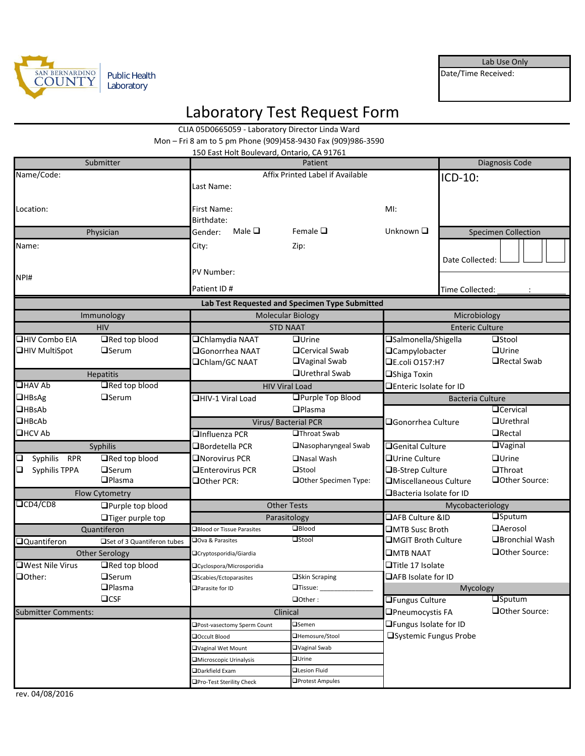

Lab Use Only

Date/Time Received:

# Laboratory Test Request Form

|                               |                             | CLIA 05D0665059 - Laboratory Director Linda Ward      |                                                              |                                   |                                                |                            |  |
|-------------------------------|-----------------------------|-------------------------------------------------------|--------------------------------------------------------------|-----------------------------------|------------------------------------------------|----------------------------|--|
|                               |                             |                                                       | Mon - Fri 8 am to 5 pm Phone (909)458-9430 Fax (909)986-3590 |                                   |                                                |                            |  |
| Submitter                     |                             | 150 East Holt Boulevard, Ontario, CA 91761<br>Patient |                                                              |                                   | Diagnosis Code                                 |                            |  |
| Name/Code:                    |                             | Affix Printed Label if Available                      |                                                              |                                   | ICD-10:                                        |                            |  |
|                               |                             | Last Name:                                            |                                                              |                                   |                                                |                            |  |
|                               |                             |                                                       |                                                              |                                   |                                                |                            |  |
| Location:                     |                             | First Name:                                           |                                                              | MI:                               |                                                |                            |  |
|                               |                             | Birthdate:                                            |                                                              |                                   |                                                |                            |  |
| Physician                     |                             | Male $\Box$<br>Gender:                                | Female $\Box$                                                | Unknown Q                         |                                                | <b>Specimen Collection</b> |  |
| Name:                         |                             | City:                                                 | Zip:                                                         |                                   |                                                |                            |  |
|                               |                             |                                                       |                                                              |                                   | Date Collected:                                |                            |  |
| NPI#                          |                             | PV Number:                                            |                                                              |                                   |                                                |                            |  |
|                               |                             | Patient ID#                                           |                                                              |                                   | Time Collected:                                |                            |  |
|                               |                             |                                                       | Lab Test Requested and Specimen Type Submitted               |                                   |                                                |                            |  |
| Immunology                    |                             | <b>Molecular Biology</b>                              |                                                              |                                   | Microbiology                                   |                            |  |
| <b>HIV</b>                    |                             |                                                       | <b>STD NAAT</b>                                              |                                   | <b>Enteric Culture</b>                         |                            |  |
| $\overline{\Box H}$ Combo EIA | Red top blood               | <b>QChlamydia NAAT</b>                                | $\Box$ Urine                                                 | <b>■Salmonella/Shigella</b>       |                                                | $\Box$ Stool               |  |
| <b>□HIV MultiSpot</b>         | $\Box$ Serum                | $\square$ Gonorrhea NAAT                              | <b>O</b> Cervical Swab                                       | <b>QCampylobacter</b>             |                                                | $\Box$ Urine               |  |
|                               |                             | <b>□</b> Chlam/GC NAAT                                | □Vaginal Swab                                                | <b>QE.coli O157:H7</b>            |                                                | □Rectal Swab               |  |
| Hepatitis                     |                             |                                                       | <b>QUrethral Swab</b>                                        | □Shiga Toxin                      |                                                |                            |  |
| <b>OHAV Ab</b>                | Red top blood               | <b>HIV Viral Load</b>                                 |                                                              |                                   | □Enteric Isolate for ID                        |                            |  |
| <b>UHBSAg</b>                 | $\Box$ Serum                | <b>OHIV-1 Viral Load</b>                              | <b>OPurple Top Blood</b>                                     |                                   | <b>Bacteria Culture</b>                        |                            |  |
| UHBsAb                        |                             | $D$ Plasma                                            |                                                              |                                   | <b>QCervical</b>                               |                            |  |
| <b>QHBcAb</b>                 |                             | Virus/ Bacterial PCR                                  |                                                              | □Gonorrhea Culture                |                                                | $\Box$ Urethral            |  |
| <b>QHCV Ab</b>                |                             | □Influenza PCR                                        | <b>UThroat Swab</b>                                          |                                   |                                                | $\Box$ Rectal              |  |
| Syphilis                      |                             | $\Box$ Bordetella PCR                                 | □Nasopharyngeal Swab                                         | <b>□Genital Culture</b>           |                                                | <b>OVaginal</b>            |  |
| Syphilis RPR<br>O             | Red top blood               | $\square$ Norovirus PCR                               | <b>ONasal Wash</b>                                           | $\Box$ Urine Culture              |                                                | $Q$ Urine                  |  |
| Syphilis TPPA<br>$\Box$       | $\Box$ Serum                | $\Box$ Enterovirus PCR                                | <b>O</b> Stool                                               |                                   | <b>■B-Strep Culture</b><br>$\Box$ Throat       |                            |  |
|                               | $D$ Plasma                  | Other PCR:                                            | □Other Specimen Type:                                        | <b>■Miscellaneous Culture</b>     |                                                | □Other Source:             |  |
| Flow Cytometry                |                             |                                                       |                                                              | $\square$ Bacteria Isolate for ID |                                                |                            |  |
| $\Box$ CD4/CD8                | □Purple top blood           | <b>Other Tests</b>                                    |                                                              |                                   | Mycobacteriology<br><b>AFB Culture &amp;ID</b> |                            |  |
|                               | $\Box$ Tiger purple top     |                                                       | Parasitology                                                 |                                   |                                                | $\square$ Sputum           |  |
|                               | Quantiferon                 | Blood or Tissue Parasites                             | $\Box$ Blood                                                 | <b>UMTB Susc Broth</b>            |                                                | <b>QAerosol</b>            |  |
| <b>Quantiferon</b>            | □Set of 3 Quantiferon tubes | Ova & Parasites                                       | $\Box$ Stool                                                 | <b>IMGIT Broth Culture</b>        |                                                | Bronchial Wash             |  |
|                               | <b>Other Serology</b>       | □Cryptosporidia/Giardia                               |                                                              | <b>OMTB NAAT</b>                  |                                                | Other Source:              |  |
| □West Nile Virus              | $\Box$ Red top blood        | □Cyclospora/Microsporidia                             |                                                              | □Title 17 Isolate                 |                                                |                            |  |
| Oother:                       | $\Box$ Serum                | □Scabies/Ectoparasites                                | <b>□Skin Scraping</b>                                        | □AFB Isolate for ID               |                                                |                            |  |
|                               | <b>O</b> Plasma             | □Parasite for ID                                      | $\Box$ Tissue: $\_$                                          |                                   | Mycology                                       |                            |  |
|                               | $\Box$ CSF                  |                                                       | $\Box$ Other:                                                | <b>OFungus Culture</b>            |                                                | <b>OSputum</b>             |  |
| <b>Submitter Comments:</b>    |                             | Clinical                                              |                                                              | <b>OPneumocystis FA</b>           |                                                | Other Source:              |  |
|                               |                             | Post-vasectomy Sperm Count                            | $\square$ Semen                                              | □Fungus Isolate for ID            |                                                |                            |  |
|                               |                             | <b>Occult Blood</b>                                   | □Hemosure/Stool                                              |                                   | □Systemic Fungus Probe                         |                            |  |
|                               |                             | □Vaginal Wet Mount                                    | $\Box$ Vaginal Swab                                          |                                   |                                                |                            |  |
|                               |                             | Microscopic Urinalysis                                | $\square$ Urine                                              |                                   |                                                |                            |  |
|                               |                             | Darkfield Exam                                        | Lesion Fluid<br>□Protest Ampules                             |                                   |                                                |                            |  |
|                               |                             | Pro-Test Sterility Check                              |                                                              |                                   |                                                |                            |  |